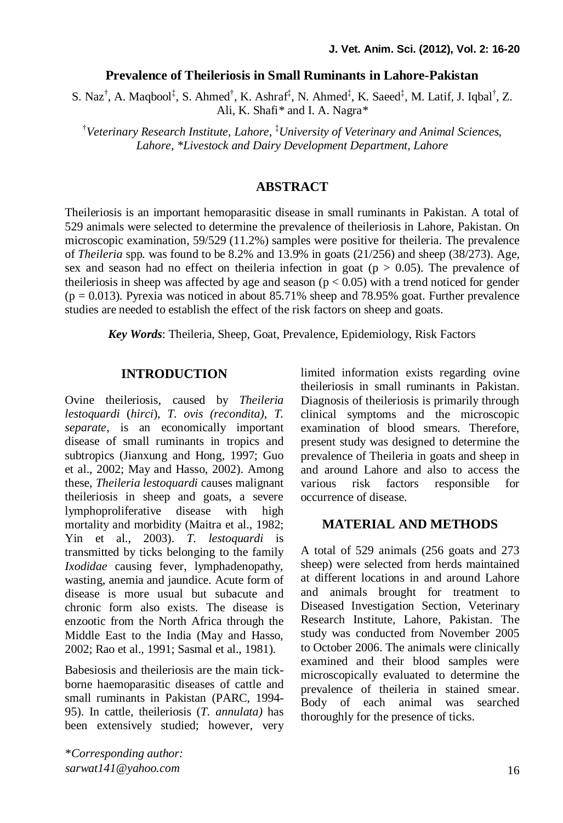#### **Prevalence of Theileriosis in Small Ruminants in Lahore-Pakistan**

S. Naz<sup>†</sup>, A. Maqbool<sup>‡</sup>, S. Ahmed<sup>†</sup>, K. Ashraf<sup>‡</sup>, N. Ahmed<sup>‡</sup>, K. Saeed<sup>‡</sup>, M. Latif, J. Iqbal<sup>†</sup>, Z. Ali, K. Shafi*\** and I. A. Nagra*\**

†*Veterinary Research Institute, Lahore,*  ‡*University of Veterinary and Animal Sciences, Lahore, \*Livestock and Dairy Development Department, Lahore*

## **ABSTRACT**

Theileriosis is an important hemoparasitic disease in small ruminants in Pakistan. A total of 529 animals were selected to determine the prevalence of theileriosis in Lahore, Pakistan. On microscopic examination, 59/529 (11.2%) samples were positive for theileria. The prevalence of *Theileria* spp*.* was found to be 8.2% and 13.9% in goats (21/256) and sheep (38/273). Age, sex and season had no effect on the leria infection in goat ( $p > 0.05$ ). The prevalence of the ileriosis in sheep was affected by age and season ( $p < 0.05$ ) with a trend noticed for gender  $(p = 0.013)$ . Pyrexia was noticed in about 85.71% sheep and 78.95% goat. Further prevalence studies are needed to establish the effect of the risk factors on sheep and goats.

*Key Words*: Theileria, Sheep, Goat, Prevalence, Epidemiology, Risk Factors

### **INTRODUCTION**

Ovine theileriosis, caused by *Theileria lestoquardi* (*hirci*), *T. ovis (recondita)*, *T. separate*, is an economically important disease of small ruminants in tropics and subtropics (Jianxung and Hong, 1997; Guo et al., 2002; May and Hasso, 2002). Among these, *Theileria lestoquardi* causes malignant theileriosis in sheep and goats, a severe lymphoproliferative disease with high mortality and morbidity (Maitra et al., 1982; Yin et al., 2003). *T. lestoquardi* is transmitted by ticks belonging to the family *Ixodidae* causing fever, lymphadenopathy, wasting, anemia and jaundice. Acute form of disease is more usual but subacute and chronic form also exists. The disease is enzootic from the North Africa through the Middle East to the India (May and Hasso, 2002; Rao et al., 1991; Sasmal et al., 1981).

Babesiosis and theileriosis are the main tickborne haemoparasitic diseases of cattle and small ruminants in Pakistan (PARC, 1994- 95). In cattle, theileriosis (*T. annulata)* has been extensively studied; however, very

\**Corresponding author: sarwat141@yahoo.com*

limited information exists regarding ovine theileriosis in small ruminants in Pakistan. Diagnosis of theileriosis is primarily through clinical symptoms and the microscopic examination of blood smears. Therefore, present study was designed to determine the prevalence of Theileria in goats and sheep in and around Lahore and also to access the various risk factors responsible for occurrence of disease.

# **MATERIAL AND METHODS**

A total of 529 animals (256 goats and 273 sheep) were selected from herds maintained at different locations in and around Lahore and animals brought for treatment to Diseased Investigation Section, Veterinary Research Institute, Lahore, Pakistan. The study was conducted from November 2005 to October 2006. The animals were clinically examined and their blood samples were microscopically evaluated to determine the prevalence of theileria in stained smear. Body of each animal was searched thoroughly for the presence of ticks.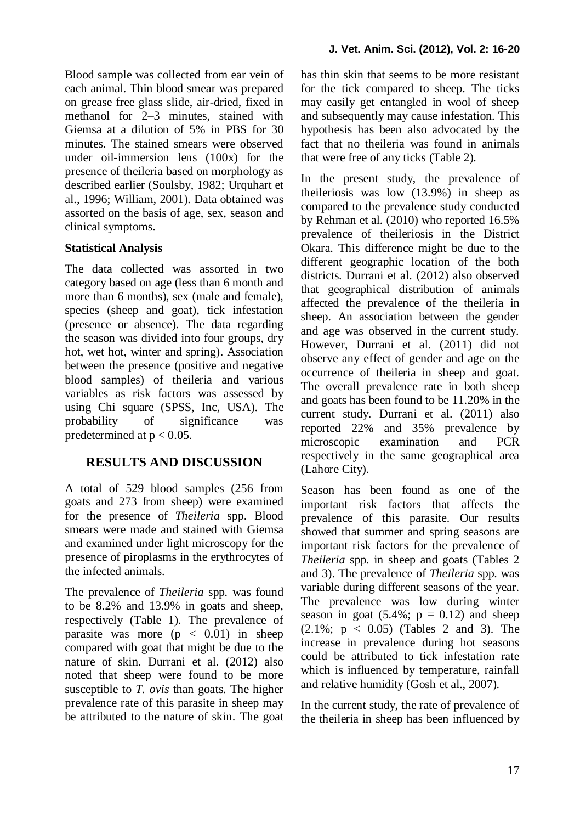Blood sample was collected from ear vein of each animal. Thin blood smear was prepared on grease free glass slide, air-dried, fixed in methanol for 2–3 minutes, stained with Giemsa at a dilution of 5% in PBS for 30 minutes. The stained smears were observed under oil-immersion lens (100x) for the presence of theileria based on morphology as described earlier (Soulsby, 1982; Urquhart et al., 1996; William, 2001). Data obtained was assorted on the basis of age, sex, season and clinical symptoms.

### **Statistical Analysis**

The data collected was assorted in two category based on age (less than 6 month and more than 6 months), sex (male and female), species (sheep and goat), tick infestation (presence or absence). The data regarding the season was divided into four groups, dry hot, wet hot, winter and spring). Association between the presence (positive and negative blood samples) of theileria and various variables as risk factors was assessed by using Chi square (SPSS, Inc, USA). The probability of significance was predetermined at  $p < 0.05$ .

# **RESULTS AND DISCUSSION**

A total of 529 blood samples (256 from goats and 273 from sheep) were examined for the presence of *Theileria* spp. Blood smears were made and stained with Giemsa and examined under light microscopy for the presence of piroplasms in the erythrocytes of the infected animals.

The prevalence of *Theileria* spp*.* was found to be 8.2% and 13.9% in goats and sheep, respectively (Table 1). The prevalence of parasite was more  $(p < 0.01)$  in sheep compared with goat that might be due to the nature of skin. Durrani et al. (2012) also noted that sheep were found to be more susceptible to *T. ovis* than goats. The higher prevalence rate of this parasite in sheep may be attributed to the nature of skin. The goat has thin skin that seems to be more resistant for the tick compared to sheep. The ticks may easily get entangled in wool of sheep and subsequently may cause infestation. This hypothesis has been also advocated by the fact that no theileria was found in animals that were free of any ticks (Table 2).

In the present study, the prevalence of theileriosis was low (13.9%) in sheep as compared to the prevalence study conducted by Rehman et al. (2010) who reported 16.5% prevalence of theileriosis in the District Okara. This difference might be due to the different geographic location of the both districts. Durrani et al. (2012) also observed that geographical distribution of animals affected the prevalence of the theileria in sheep. An association between the gender and age was observed in the current study. However, Durrani et al. (2011) did not observe any effect of gender and age on the occurrence of theileria in sheep and goat. The overall prevalence rate in both sheep and goats has been found to be 11.20% in the current study. Durrani et al. (2011) also reported 22% and 35% prevalence by microscopic examination and PCR respectively in the same geographical area (Lahore City).

Season has been found as one of the important risk factors that affects the prevalence of this parasite. Our results showed that summer and spring seasons are important risk factors for the prevalence of *Theileria* spp. in sheep and goats (Tables 2 and 3). The prevalence of *Theileria* spp. was variable during different seasons of the year. The prevalence was low during winter season in goat  $(5.4\%; p = 0.12)$  and sheep (2.1%; p < 0.05) (Tables 2 and 3). The increase in prevalence during hot seasons could be attributed to tick infestation rate which is influenced by temperature, rainfall and relative humidity (Gosh et al., 2007).

In the current study, the rate of prevalence of the theileria in sheep has been influenced by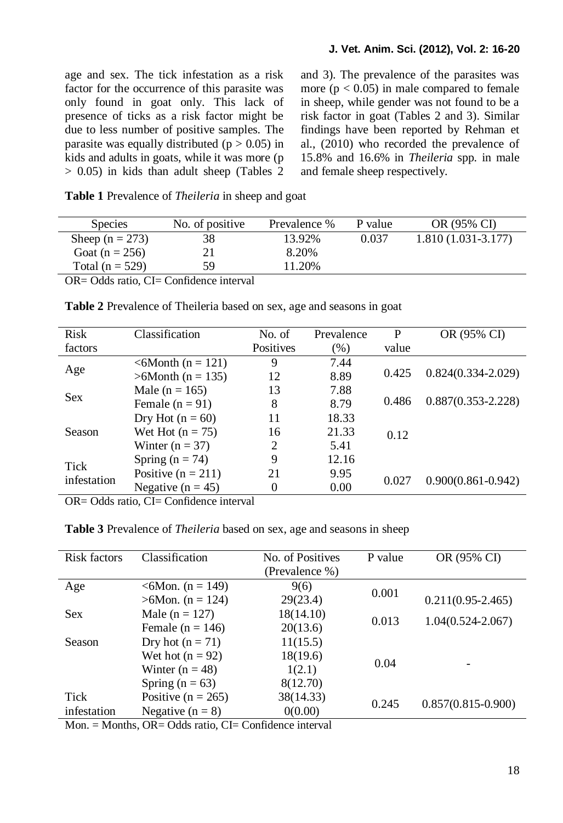age and sex. The tick infestation as a risk factor for the occurrence of this parasite was only found in goat only. This lack of presence of ticks as a risk factor might be due to less number of positive samples. The parasite was equally distributed ( $p > 0.05$ ) in kids and adults in goats, while it was more (p  $> 0.05$ ) in kids than adult sheep (Tables 2) and 3). The prevalence of the parasites was more  $(p < 0.05)$  in male compared to female in sheep, while gender was not found to be a risk factor in goat (Tables 2 and 3). Similar findings have been reported by Rehman et al., (2010) who recorded the prevalence of 15.8% and 16.6% in *Theileria* spp*.* in male and female sheep respectively.

| Table 1 Prevalence of Theileria in sheep and goat |  |  |  |
|---------------------------------------------------|--|--|--|
|---------------------------------------------------|--|--|--|

| <b>Species</b>      | No. of positive | Prevalence % | P value | OR (95% CI)          |
|---------------------|-----------------|--------------|---------|----------------------|
| Sheep ( $n = 273$ ) | 38              | 13.92%       | 0.037   | $1.810(1.031-3.177)$ |
| Goat (n = 256)      |                 | 8.20%        |         |                      |
| Total ( $n = 529$ ) | 59              | 11.20%       |         |                      |
|                     | ____            |              |         |                      |

OR= Odds ratio, CI= Confidence interval

| Risk                | Classification                     | No. of    | Prevalence | P     | OR (95% CI)            |
|---------------------|------------------------------------|-----------|------------|-------|------------------------|
| factors             |                                    | Positives | $(\%)$     | value |                        |
|                     | $< 6$ Month (n = 121)              | 9         | 7.44       |       |                        |
| Age                 | $>6$ Month (n = 135)               | 12        | 8.89       | 0.425 | $0.824(0.334 - 2.029)$ |
| <b>Sex</b>          | Male ( $n = 165$ )                 | 13        | 7.88       |       |                        |
|                     | Female $(n = 91)$                  | 8         | 8.79       | 0.486 | $0.887(0.353 - 2.228)$ |
| Season              | Dry Hot $(n = 60)$                 | 11        | 18.33      |       |                        |
|                     | Wet Hot $(n = 75)$                 | 16        | 21.33      | 0.12  |                        |
|                     | Winter $(n = 37)$                  | 2         | 5.41       |       |                        |
| Tick<br>infestation | Spring ( $n = 74$ )                | 9         | 12.16      |       |                        |
|                     | Positive $(n = 211)$               | 21        | 9.95       |       |                        |
|                     | Negative ( $n = 45$ )              | $\theta$  | 0.00       | 0.027 | $0.900(0.861 - 0.942)$ |
| .                   | $\sim$ $\sim$ $\sim$ $\sim$ $\sim$ |           |            |       |                        |

**Table 2** Prevalence of Theileria based on sex, age and seasons in goat

OR= Odds ratio, CI= Confidence interval

**Table 3** Prevalence of *Theileria* based on sex, age and seasons in sheep

| Risk factors | Classification          | No. of Positives | P value | OR (95% CI)            |
|--------------|-------------------------|------------------|---------|------------------------|
|              |                         | (Prevalence %)   |         |                        |
| Age          | $\leq 6$ Mon. (n = 149) | 9(6)             | 0.001   |                        |
|              | $>6$ Mon. (n = 124)     | 29(23.4)         |         | $0.211(0.95 - 2.465)$  |
| <b>Sex</b>   | Male ( $n = 127$ )      | 18(14.10)        | 0.013   | $1.04(0.524 - 2.067)$  |
|              | Female ( $n = 146$ )    | 20(13.6)         |         |                        |
| Season       | Dry hot $(n = 71)$      | 11(15.5)         |         |                        |
|              | Wet hot $(n = 92)$      | 18(19.6)         |         |                        |
|              | Winter $(n = 48)$       | 1(2.1)           | 0.04    |                        |
|              | Spring ( $n = 63$ )     | 8(12.70)         |         |                        |
| Tick         | Positive ( $n = 265$ )  | 38(14.33)        | 0.245   |                        |
| infestation  | Negative $(n = 8)$      | 0(0.00)          |         | $0.857(0.815 - 0.900)$ |

Mon. = Months, OR= Odds ratio, CI= Confidence interval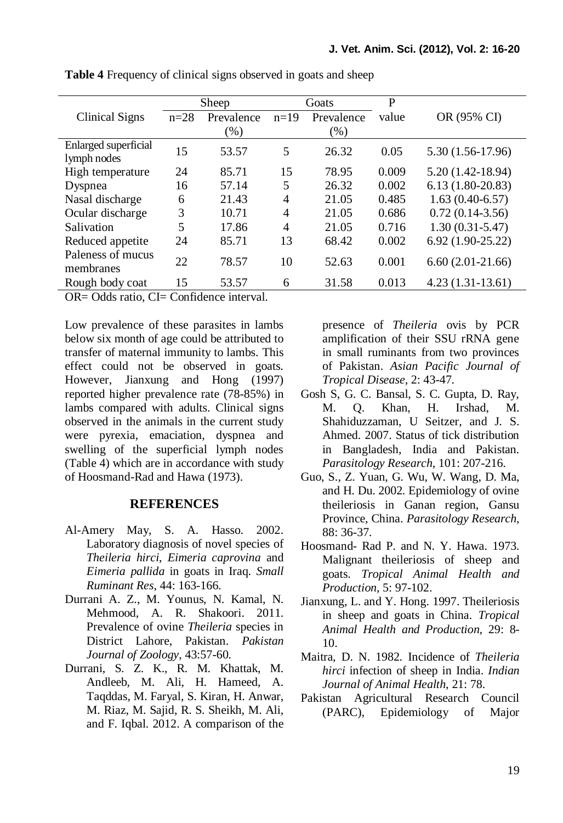|                      | Sheep  |            | Goats  |            | P     |                     |
|----------------------|--------|------------|--------|------------|-------|---------------------|
| Clinical Signs       | $n=28$ | Prevalence | $n=19$ | Prevalence | value | OR (95% CI)         |
|                      |        | $(\%)$     |        | $(\%)$     |       |                     |
| Enlarged superficial | 15     | 53.57      | 5      | 26.32      | 0.05  | 5.30 (1.56-17.96)   |
| lymph nodes          |        |            |        |            |       |                     |
| High temperature     | 24     | 85.71      | 15     | 78.95      | 0.009 | $5.20(1.42-18.94)$  |
| Dyspnea              | 16     | 57.14      | 5      | 26.32      | 0.002 | $6.13(1.80-20.83)$  |
| Nasal discharge      | 6      | 21.43      | 4      | 21.05      | 0.485 | $1.63(0.40-6.57)$   |
| Ocular discharge     | 3      | 10.71      | 4      | 21.05      | 0.686 | $0.72(0.14-3.56)$   |
| Salivation           | 5      | 17.86      | 4      | 21.05      | 0.716 | $1.30(0.31 - 5.47)$ |
| Reduced appetite     | 24     | 85.71      | 13     | 68.42      | 0.002 | $6.92(1.90-25.22)$  |
| Paleness of mucus    | 22     | 78.57      | 10     | 52.63      | 0.001 | $6.60(2.01-21.66)$  |
| membranes            |        |            |        |            |       |                     |
| Rough body coat      | 15     | 53.57      | 6      | 31.58      | 0.013 | $4.23(1.31-13.61)$  |

**Table 4** Frequency of clinical signs observed in goats and sheep

OR= Odds ratio, CI= Confidence interval.

Low prevalence of these parasites in lambs below six month of age could be attributed to transfer of maternal immunity to lambs. This effect could not be observed in goats. However, Jianxung and Hong (1997) reported higher prevalence rate (78-85%) in lambs compared with adults. Clinical signs observed in the animals in the current study were pyrexia, emaciation, dyspnea and swelling of the superficial lymph nodes (Table 4) which are in accordance with study of Hoosmand-Rad and Hawa (1973).

#### **REFERENCES**

- Al-Amery May, S. A. Hasso. 2002. Laboratory diagnosis of novel species of *Theileria hirci*, *Eimeria caprovina* and *Eimeria pallida* in goats in Iraq. *Small Ruminant Res*, 44: 163-166.
- Durrani A. Z., M. Younus, N. Kamal, N. Mehmood, A. R. Shakoori. 2011. Prevalence of ovine *Theileria* species in District Lahore, Pakistan. *Pakistan Journal of Zoology*, 43:57-60.
- Durrani, S. Z. K., R. M. Khattak, M. Andleeb, M. Ali, H. Hameed, A. Taqddas, M. Faryal, S. Kiran, H. Anwar, M. Riaz, M. Sajid, R. S. Sheikh, M. Ali, and F. Iqbal. 2012. A comparison of the

presence of *Theileria* ovis by PCR amplification of their SSU rRNA gene in small ruminants from two provinces of Pakistan. *Asian Pacific Journal of Tropical Disease*, 2: 43-47.

- Gosh S, G. C. Bansal, S. C. Gupta, D. Ray, M. Q. Khan, H. Irshad, M. Shahiduzzaman, U Seitzer, and J. S. Ahmed. 2007. Status of tick distribution in Bangladesh, India and Pakistan. *Parasitology Research*, 101: 207-216.
- Guo, S., Z. Yuan, G. Wu, W. Wang, D. Ma, and H. Du. 2002. Epidemiology of ovine theileriosis in Ganan region, Gansu Province, China. *Parasitology Research,*  88: 36-37.
- Hoosmand- Rad P. and N. Y. Hawa. 1973. Malignant theileriosis of sheep and goats. *Tropical Animal Health and Production*, 5: 97-102.
- Jianxung, L. and Y. Hong. 1997. Theileriosis in sheep and goats in China. *Tropical Animal Health and Production,* 29: 8- 10.
- Maitra, D. N. 1982. Incidence of *Theileria hirci* infection of sheep in India. *Indian Journal of Animal Health*, 21: 78.
- Pakistan Agricultural Research Council (PARC), Epidemiology of Major